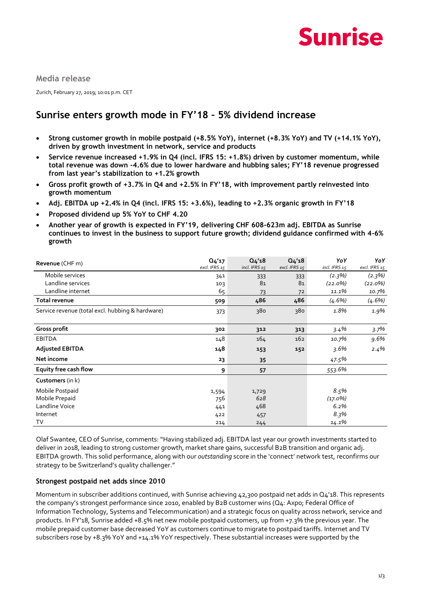

**Media release**

Zurich, February 27, 2019; 10:01 p.m. CET

## **Sunrise enters growth mode in FY'18 – 5% dividend increase**

- **Strong customer growth in mobile postpaid (+8.5% YoY), internet (+8.3% YoY) and TV (+14.1% YoY), driven by growth investment in network, service and products**
- **Service revenue increased +1.9% in Q4 (incl. IFRS 15: +1.8%) driven by customer momentum, while total revenue was down -4.6% due to lower hardware and hubbing sales; FY'18 revenue progressed from last year's stabilization to +1.2% growth**
- **Gross profit growth of +3.7% in Q4 and +2.5% in FY'18, with improvement partly reinvested into growth momentum**
- **Adj. EBITDA up +2.4% in Q4 (incl. IFRS 15: +3.6%), leading to +2.3% organic growth in FY'18**
- **Proposed dividend up 5% YoY to CHF 4.20**
- **Another year of growth is expected in FY'19, delivering CHF 608-623m adj. EBITDA as Sunrise continues to invest in the business to support future growth; dividend guidance confirmed with 4-6% growth**

| Revenue (CHF m)                                  | Q <sub>4</sub> '17<br>excl. IFRS 15 | Q <sub>4</sub> '18<br>incl. IFRS 15 | Q <sub>4</sub> '18<br>excl. IFRS 15 | YoY<br>incl. IFRS 15 | YoY<br>excl. IFRS 15 |
|--------------------------------------------------|-------------------------------------|-------------------------------------|-------------------------------------|----------------------|----------------------|
| Mobile services                                  | 341                                 | 333                                 | 333                                 | $(2.3\%)$            | (2.3%)               |
| Landline services                                | 103                                 | 81                                  | 81                                  | $(22.0\%)$           | $(22.0\%)$           |
| Landline internet                                | 65                                  | 73                                  | 72                                  | 11.1%                | 10.7%                |
| Total revenue                                    | 509                                 | 486                                 | 486                                 | $(4.6\%)$            | $(4.6\%)$            |
| Service revenue (total excl. hubbing & hardware) | 373                                 | 380                                 | 380                                 | 1.8%                 | 1.9%                 |
| Gross profit                                     | 302                                 | 312                                 | 313                                 | 3.4%                 | 3.7%                 |
| <b>EBITDA</b>                                    | 148                                 | 164                                 | 162                                 | 10.7%                | 9.6%                 |
| <b>Adjusted EBITDA</b>                           | 148                                 | 153                                 | 152                                 | $3.6\%$              | $2.4\%$              |
| Net income                                       | 23                                  | 35                                  |                                     | 47.5%                |                      |
| Equity free cash flow                            | 9                                   | 57                                  |                                     | 553.6%               |                      |
| Customers (in k)                                 |                                     |                                     |                                     |                      |                      |
| Mobile Postpaid                                  | 1,594                               | 1,729                               |                                     | 8.5%                 |                      |
| Mobile Prepaid                                   | 756                                 | 628                                 |                                     | $(17.0\%)$           |                      |
| Landline Voice                                   | 441                                 | 468                                 |                                     | 6.2%                 |                      |
| Internet                                         | 422                                 | 457                                 |                                     | 8.3%                 |                      |
| T٧                                               | 214                                 | 244                                 |                                     | 14.1%                |                      |

Olaf Swantee, CEO of Sunrise, comments: "Having stabilized adj. EBITDA last year our growth investments started to deliver in 2018, leading to strong customer growth, market share gains, successful B2B transition and organic adj. EBITDA growth. This solid performance, along with our *outstanding* score in the 'connect' network test, reconfirms our strategy to be Switzerland's quality challenger."

#### **Strongest postpaid net adds since 2010**

Momentum in subscriber additions continued, with Sunrise achieving 42,300 postpaid net adds in  $Q_4'$ 18. This represents the company's strongest performance since 2010, enabled by B2B customer wins (Q4: Axpo; Federal Office of Information Technology, Systems and Telecommunication) and a strategic focus on quality across network, service and products. In FY'18, Sunrise added +8.5% net new mobile postpaid customers, up from +7.3% the previous year. The mobile prepaid customer base decreased YoY as customers continue to migrate to postpaid tariffs. Internet and TV subscribers rose by +8.3% YoY and +14.1% YoY respectively. These substantial increases were supported by the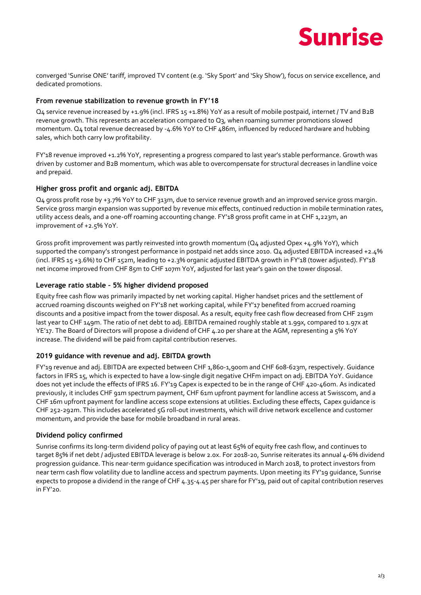

converged 'Sunrise ONE' tariff, improved TV content (e.g. 'Sky Sport' and 'Sky Show'), focus on service excellence, and dedicated promotions.

#### **From revenue stabilization to revenue growth in FY'18**

Q4 service revenue increased by +1.9% (incl. IFRS 15 +1.8%) YoY as a result of mobile postpaid, internet / TV and B2B revenue growth. This represents an acceleration compared to Q3, when roaming summer promotions slowed momentum. Q4 total revenue decreased by -4.6% YoY to CHF 486m, influenced by reduced hardware and hubbing sales, which both carry low profitability.

FY'18 revenue improved +1.2% YoY, representing a progress compared to last year's stable performance. Growth was driven by customer and B2B momentum, which was able to overcompensate for structural decreases in landline voice and prepaid.

#### **Higher gross profit and organic adj. EBITDA**

Q4 gross profit rose by +3.7% YoY to CHF 313m, due to service revenue growth and an improved service gross margin. Service gross margin expansion was supported by revenue mix effects, continued reduction in mobile termination rates, utility access deals, and a one-off roaming accounting change. FY'18 gross profit came in at CHF 1,223m, an improvement of +2.5% YoY.

Gross profit improvement was partly reinvested into growth momentum (Q4 adjusted Opex +4.9% YoY), which supported the company's strongest performance in postpaid net adds since 2010. Q4 adjusted EBITDA increased +2.4% (incl. IFRS 15 +3.6%) to CHF 152m, leading to +2.3% organic adjusted EBITDA growth in FY'18 (tower adjusted). FY'18 net income improved from CHF 85m to CHF 107m YoY, adjusted for last year's gain on the tower disposal.

#### **Leverage ratio stable – 5% higher dividend proposed**

Equity free cash flow was primarily impacted by net working capital. Higher handset prices and the settlement of accrued roaming discounts weighed on FY'18 net working capital, while FY'17 benefited from accrued roaming discounts and a positive impact from the tower disposal. As a result, equity free cash flow decreased from CHF 219m last year to CHF 149m. The ratio of net debt to adj. EBITDA remained roughly stable at 1.99x, compared to 1.97x at YE'17. The Board of Directors will propose a dividend of CHF 4.20 per share at the AGM, representing a 5% YoY increase. The dividend will be paid from capital contribution reserves.

#### **2019 guidance with revenue and adj. EBITDA growth**

FY'19 revenue and adj. EBITDA are expected between CHF 1,860-1,900m and CHF 608-623m, respectively. Guidance factors in IFRS 15, which is expected to have a low-single digit negative CHFm impact on adj. EBITDA YoY. Guidance does not yet include the effects of IFRS 16. FY'19 Capex is expected to be in the range of CHF 420-460m. As indicated previously, it includes CHF 91m spectrum payment, CHF 61m upfront payment for landline access at Swisscom, and a CHF 16m upfront payment for landline access scope extensions at utilities. Excluding these effects, Capex guidance is CHF 252-292m. This includes accelerated 5G roll-out investments, which will drive network excellence and customer momentum, and provide the base for mobile broadband in rural areas.

#### **Dividend policy confirmed**

Sunrise confirms its long-term dividend policy of paying out at least 65% of equity free cash flow, and continues to target 85% if net debt / adjusted EBITDA leverage is below 2.0x. For 2018-20, Sunrise reiterates its annual 4-6% dividend progression guidance. This near-term guidance specification was introduced in March 2018, to protect investors from near term cash flow volatility due to landline access and spectrum payments. Upon meeting its FY'19 guidance, Sunrise expects to propose a dividend in the range of CHF 4.35-4.45 per share for FY'19, paid out of capital contribution reserves in FY'20.